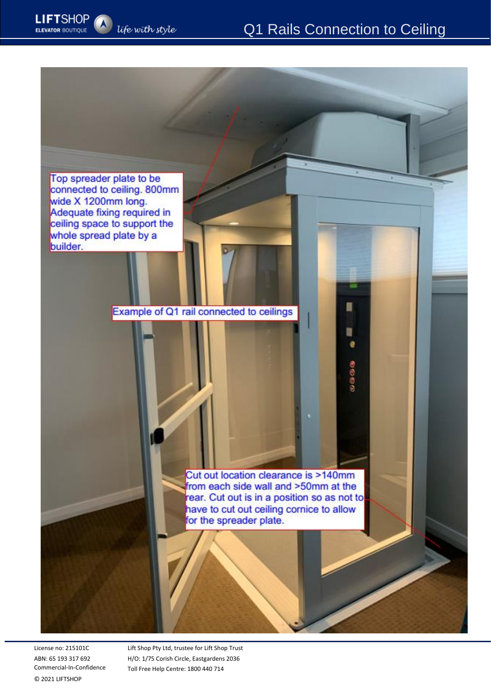π

Đ ė

00000

Top spreader plate to be connected to ceiling. 800mm wide X 1200mm long. Adequate fixing required in ceiling space to support the whole spread plate by a builder.

life with style

**LIFTSHOP** 

**ELEVATOR BOUTIQUE** 

Example of Q1 rail connected to ceilings

Cut out location clearance is >140mm from each side wall and >50mm at the rear. Cut out is in a position so as not to have to cut out ceiling cornice to allow for the spreader plate.

License no: 215101C ABN: 65 193 317 692 Commercial-In-Confidence © 2021 LIFTSHOP

Lift Shop Pty Ltd, trustee for Lift Shop Trust H/O: 1/75 Corish Circle, Eastgardens 2036 Toll Free Help Centre: 1800 440 714